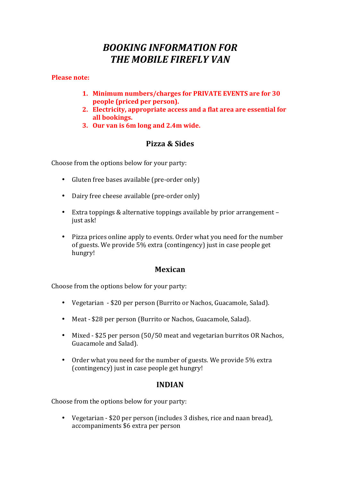# *BOOKING INFORMATION FOR THE MOBILE FIREFLY VAN*

#### **Please note:**

- 1. Minimum numbers/charges for PRIVATE EVENTS are for 30 **people** (priced per person).
- **2.** Electricity, appropriate access and a flat area are essential for **all bookings.**
- **3. Our** van is 6m long and 2.4m wide.

# **Pizza & Sides**

Choose from the options below for your party:

- Gluten free bases available (pre-order only)
- Dairy free cheese available (pre-order only)
- Extra toppings & alternative toppings available by prior arrangement  $$ just ask!
- Pizza prices online apply to events. Order what you need for the number of guests. We provide 5% extra (contingency) just in case people get hungry!

## **Mexican**

Choose from the options below for your party:

- Vegetarian \$20 per person (Burrito or Nachos, Guacamole, Salad).
- Meat \$28 per person (Burrito or Nachos, Guacamole, Salad).
- Mixed \$25 per person (50/50 meat and vegetarian burritos OR Nachos, Guacamole and Salad).
- Order what you need for the number of guests. We provide 5% extra (contingency) just in case people get hungry!

## **INDIAN**

Choose from the options below for your party:

• Vegetarian - \$20 per person (includes 3 dishes, rice and naan bread), accompaniments \$6 extra per person